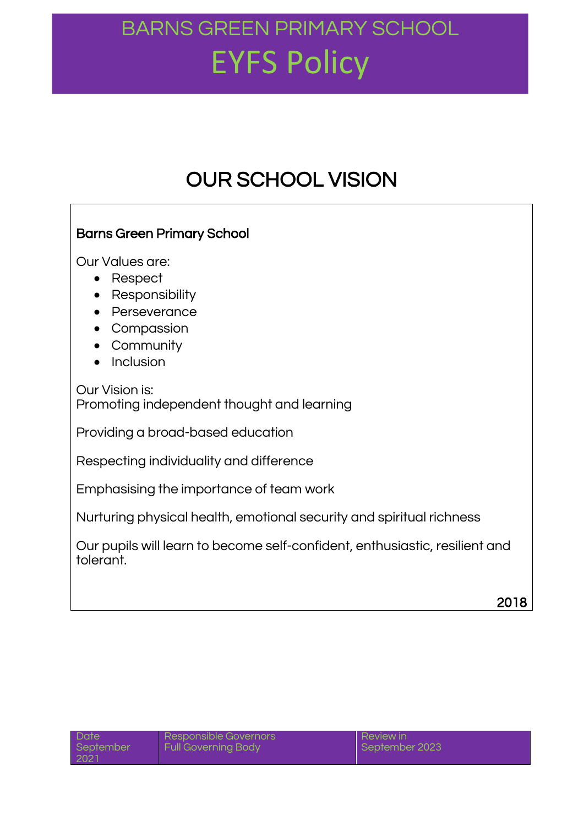### OUR SCHOOL VISION

### Barns Green Primary School Our Values are: • Respect • Responsibility • Perseverance • Compassion • Community • Inclusion Our Vision is: Promoting independent thought and learning Providing a broad-based education Respecting individuality and difference Emphasising the importance of team work Nurturing physical health, emotional security and spiritual richness Our pupils will learn to become self-confident, enthusiastic, resilient and tolerant. 2018

| - Date             | Responsible Governors      | l Review in    |
|--------------------|----------------------------|----------------|
| September<br>-2021 | <b>Full Governing Body</b> | September 2023 |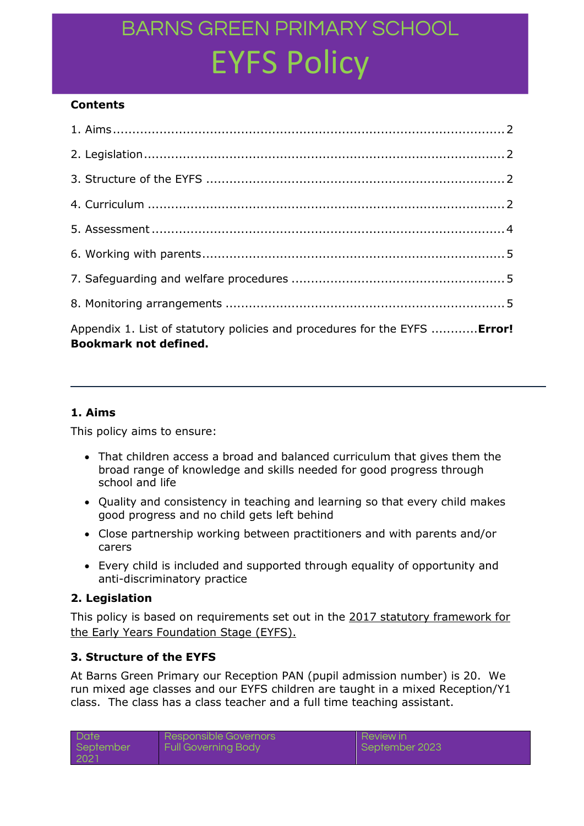#### **Contents**

| Appendix 1. List of statutory policies and procedures for the EYFS  Error!<br><b>Bookmark not defined.</b> The second state of the second state of the second state of the second state of the second state of the second state state state state state state state state state state state state state state sta |  |
|-------------------------------------------------------------------------------------------------------------------------------------------------------------------------------------------------------------------------------------------------------------------------------------------------------------------|--|

#### **1. Aims**

This policy aims to ensure:

- That children access a broad and balanced curriculum that gives them the broad range of knowledge and skills needed for good progress through school and life
- Quality and consistency in teaching and learning so that every child makes good progress and no child gets left behind
- Close partnership working between practitioners and with parents and/or carers
- Every child is included and supported through equality of opportunity and anti-discriminatory practice

#### **2. Legislation**

This policy is based on requirements set out in the [2017 statutory framework for](https://www.gov.uk/government/uploads/system/uploads/attachment_data/file/596629/EYFS_STATUTORY_FRAMEWORK_2017.pdf)  [the Early Years Foundation Stage \(EYFS\).](https://www.gov.uk/government/uploads/system/uploads/attachment_data/file/596629/EYFS_STATUTORY_FRAMEWORK_2017.pdf)

#### **3. Structure of the EYFS**

At Barns Green Primary our Reception PAN (pupil admission number) is 20. We run mixed age classes and our EYFS children are taught in a mixed Reception/Y1 class. The class has a class teacher and a full time teaching assistant.

| Date <sup></sup> | Responsible Governors | <b>Review in</b> |
|------------------|-----------------------|------------------|
| September        | Full Governing Body   | September 2023   |
| 2021             |                       |                  |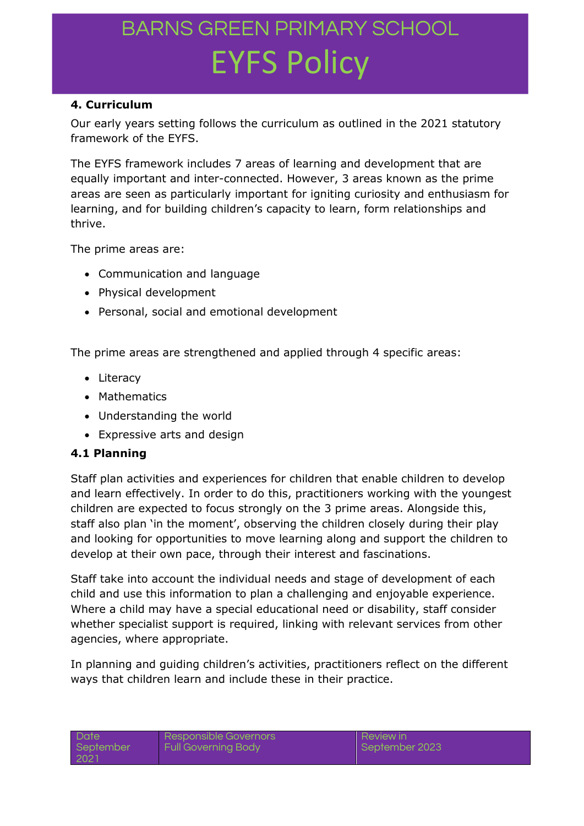#### **4. Curriculum**

Our early years setting follows the curriculum as outlined in the 2021 statutory framework of the EYFS.

The EYFS framework includes 7 areas of learning and development that are equally important and inter-connected. However, 3 areas known as the prime areas are seen as particularly important for igniting curiosity and enthusiasm for learning, and for building children's capacity to learn, form relationships and thrive.

The prime areas are:

- Communication and language
- Physical development
- Personal, social and emotional development

The prime areas are strengthened and applied through 4 specific areas:

- Literacy
- Mathematics
- Understanding the world
- Expressive arts and design

#### **4.1 Planning**

Staff plan activities and experiences for children that enable children to develop and learn effectively. In order to do this, practitioners working with the youngest children are expected to focus strongly on the 3 prime areas. Alongside this, staff also plan 'in the moment', observing the children closely during their play and looking for opportunities to move learning along and support the children to develop at their own pace, through their interest and fascinations.

Staff take into account the individual needs and stage of development of each child and use this information to plan a challenging and enjoyable experience. Where a child may have a special educational need or disability, staff consider whether specialist support is required, linking with relevant services from other agencies, where appropriate.

In planning and guiding children's activities, practitioners reflect on the different ways that children learn and include these in their practice.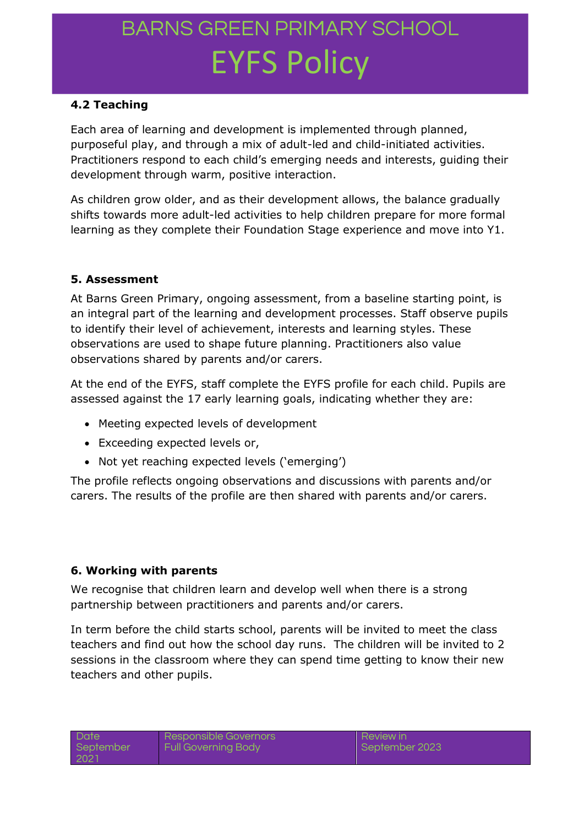#### **4.2 Teaching**

Each area of learning and development is implemented through planned, purposeful play, and through a mix of adult-led and child-initiated activities. Practitioners respond to each child's emerging needs and interests, guiding their development through warm, positive interaction.

As children grow older, and as their development allows, the balance gradually shifts towards more adult-led activities to help children prepare for more formal learning as they complete their Foundation Stage experience and move into Y1.

#### **5. Assessment**

At Barns Green Primary, ongoing assessment, from a baseline starting point, is an integral part of the learning and development processes. Staff observe pupils to identify their level of achievement, interests and learning styles. These observations are used to shape future planning. Practitioners also value observations shared by parents and/or carers.

At the end of the EYFS, staff complete the EYFS profile for each child. Pupils are assessed against the 17 early learning goals, indicating whether they are:

- Meeting expected levels of development
- Exceeding expected levels or,
- Not yet reaching expected levels ('emerging')

The profile reflects ongoing observations and discussions with parents and/or carers. The results of the profile are then shared with parents and/or carers.

#### **6. Working with parents**

We recognise that children learn and develop well when there is a strong partnership between practitioners and parents and/or carers.

In term before the child starts school, parents will be invited to meet the class teachers and find out how the school day runs. The children will be invited to 2 sessions in the classroom where they can spend time getting to know their new teachers and other pupils.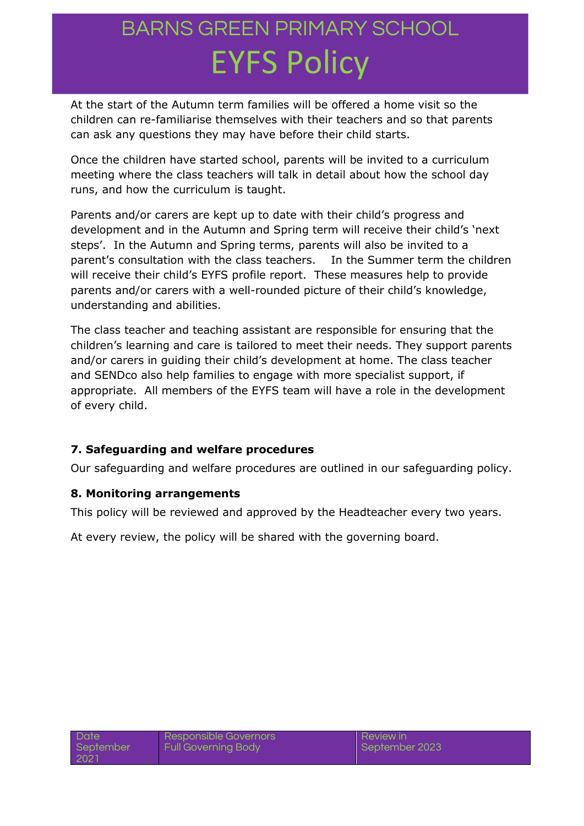At the start of the Autumn term families will be offered a home visit so the children can re-familiarise themselves with their teachers and so that parents can ask any questions they may have before their child starts.

Once the children have started school, parents will be invited to a curriculum meeting where the class teachers will talk in detail about how the school day runs, and how the curriculum is taught.

Parents and/or carers are kept up to date with their child's progress and development and in the Autumn and Spring term will receive their child's 'next steps'. In the Autumn and Spring terms, parents will also be invited to a parent's consultation with the class teachers. In the Summer term the children will receive their child's EYFS profile report. These measures help to provide parents and/or carers with a well-rounded picture of their child's knowledge, understanding and abilities.

The class teacher and teaching assistant are responsible for ensuring that the children's learning and care is tailored to meet their needs. They support parents and/or carers in guiding their child's development at home. The class teacher and SENDco also help families to engage with more specialist support, if appropriate. All members of the EYFS team will have a role in the development of every child.

#### **7. Safeguarding and welfare procedures**

Our safeguarding and welfare procedures are outlined in our safeguarding policy.

#### **8. Monitoring arrangements**

This policy will be reviewed and approved by the Headteacher every two years.

At every review, the policy will be shared with the governing board.